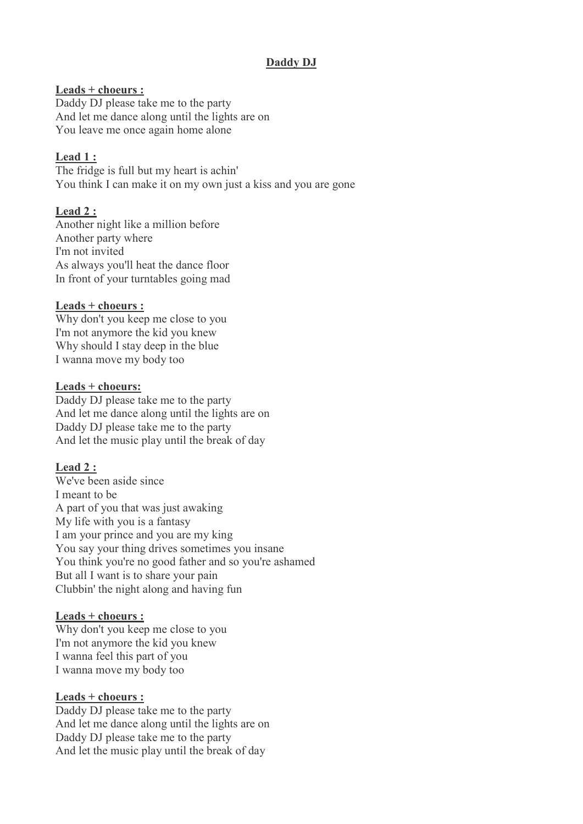# **Daddy DJ**

### **Leads + choeurs :**

Daddy DJ please take me to the party And let me dance along until the lights are on You leave me once again home alone

## **Lead 1 :**

The fridge is full but my heart is achin' You think I can make it on my own just a kiss and you are gone

### **Lead 2 :**

Another night like a million before Another party where I'm not invited As always you'll heat the dance floor In front of your turntables going mad

#### **Leads + choeurs :**

Why don't you keep me close to you I'm not anymore the kid you knew Why should I stay deep in the blue I wanna move my body too

#### **Leads + choeurs:**

Daddy DJ please take me to the party And let me dance along until the lights are on Daddy DJ please take me to the party And let the music play until the break of day

## **Lead 2 :**

We've been aside since I meant to be A part of you that was just awaking My life with you is a fantasy I am your prince and you are my king You say your thing drives sometimes you insane You think you're no good father and so you're ashamed But all I want is to share your pain Clubbin' the night along and having fun

#### **Leads + choeurs :**

Why don't you keep me close to you I'm not anymore the kid you knew I wanna feel this part of you I wanna move my body too

#### **Leads + choeurs :**

Daddy DJ please take me to the party And let me dance along until the lights are on Daddy DJ please take me to the party And let the music play until the break of day